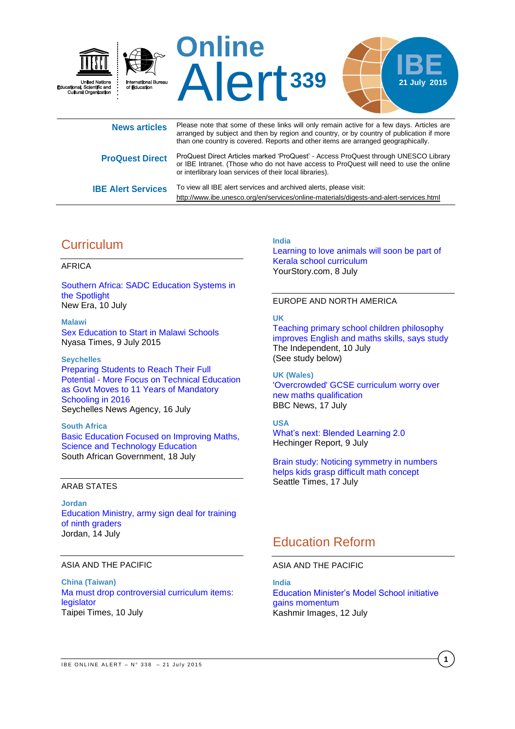

| <b>INGWS ALLIGICS</b>     | arranged by subject and then by region and country, or by country of publication if more<br>than one country is covered. Reports and other items are arranged geographically.                                                             |
|---------------------------|-------------------------------------------------------------------------------------------------------------------------------------------------------------------------------------------------------------------------------------------|
| <b>ProQuest Direct</b>    | ProQuest Direct Articles marked 'ProQuest' - Access ProQuest through UNESCO Library<br>or IBE Intranet. (Those who do not have access to ProQuest will need to use the online<br>or interlibrary loan services of their local libraries). |
| <b>IBE Alert Services</b> | To view all IBE alert services and archived alerts, please visit:<br>http://www.ibe.unesco.org/en/services/online-materials/digests-and-alert-services.html                                                                               |

# **Curriculum**

## AFRICA

[Southern Africa: SADC Education Systems in](http://allafrica.com/stories/201507101047.html)  [the Spotlight](http://allafrica.com/stories/201507101047.html) New Era, 10 July

**Malawi**  [Sex Education to Start in Malawi Schools](http://allafrica.com/stories/201507091166.html) Nyasa Times, 9 July 2015

**Seychelles**  [Preparing Students to Reach Their Full](http://allafrica.com/stories/201507171220.html)  [Potential - More Focus on Technical Education](http://allafrica.com/stories/201507171220.html)  [as Govt Moves to 11 Years of Mandatory](http://allafrica.com/stories/201507171220.html)  [Schooling in 2016](http://allafrica.com/stories/201507171220.html) Seychelles News Agency, 16 July

**South Africa**  [Basic Education Focused on Improving Maths,](http://allafrica.com/stories/201507171356.html)  [Science and Technology Education](http://allafrica.com/stories/201507171356.html) South African Government, 18 July

### ARAB STATES

**Jordan**  [Education Ministry, army sign deal for training](http://jordantimes.com/news/local/education-ministry-army-sign-deal-training-ninth-graders)  [of ninth graders](http://jordantimes.com/news/local/education-ministry-army-sign-deal-training-ninth-graders) Jordan, 14 July

## ASIA AND THE PACIFIC

**China (Taiwan)**  [Ma must drop controversial curriculum items:](http://www.taipeitimes.com/News/taiwan/archives/2015/07/10/2003622700)  [legislator](http://www.taipeitimes.com/News/taiwan/archives/2015/07/10/2003622700) Taipei Times, 10 July

### **India**

[Learning to love animals will soon be part of](http://social.yourstory.com/2015/07/animal-rights-kerala/)  [Kerala school curriculum](http://social.yourstory.com/2015/07/animal-rights-kerala/) YourStory.com, 8 July

### EUROPE AND NORTH AMERICA

## **UK**

[Teaching primary school children philosophy](http://www.independent.co.uk/news/education/schools/teaching-primary-school-children-philosophy-improves-english-and-maths-skills-says-study-10378958.html)  [improves English and maths skills, says study](http://www.independent.co.uk/news/education/schools/teaching-primary-school-children-philosophy-improves-english-and-maths-skills-says-study-10378958.html) The Independent, 10 July (See study below)

**UK (Wales)**  ['Overcrowded' GCSE curriculum worry over](http://www.bbc.com/news/uk-wales-33552401)  [new maths qualification](http://www.bbc.com/news/uk-wales-33552401) BBC News, 17 July

## **USA**

[What's next: Blended Learning 2.0](http://hechingerreport.org/whats-next-blended-learning-2-0/) Hechinger Report, 9 July

[Brain study: Noticing symmetry in numbers](http://www.seattletimes.com/education-lab/brain-study-noticing-symmetry-in-numbers-helps-kids-grasp-difficult-math-concept/)  [helps kids grasp difficult math concept](http://www.seattletimes.com/education-lab/brain-study-noticing-symmetry-in-numbers-helps-kids-grasp-difficult-math-concept/)  Seattle Times, 17 July

# Education Reform

### ASIA AND THE PACIFIC

**India**  [Education Minister's Model School initiative](http://www.dailykashmirimages.com/news-education-ministers-model-school-initiative-gains-momentum-82970.aspx)  [gains momentum](http://www.dailykashmirimages.com/news-education-ministers-model-school-initiative-gains-momentum-82970.aspx) Kashmir Images, 12 July

**1**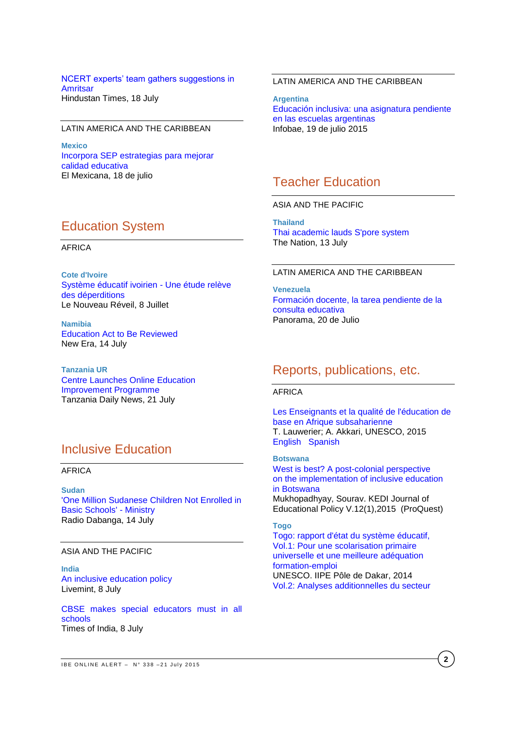### [NCERT experts' team gathers suggestions in](http://www.hindustantimes.com/amritsar/ncert-experts-team-gathers-suggestions-in-amritsar/article1-1370637.aspx)  **[Amritsar](http://www.hindustantimes.com/amritsar/ncert-experts-team-gathers-suggestions-in-amritsar/article1-1370637.aspx)** Hindustan Times, 18 July

## LATIN AMERICA AND THE CARIBBEAN

**Mexico** [Incorpora SEP estrategias para mejorar](http://www.oem.com.mx/elmexicano/notas/n3883733.htm)  [calidad educativa](http://www.oem.com.mx/elmexicano/notas/n3883733.htm) El Mexicana, 18 de julio

## Education System

### AFRICA

**Cote d'Ivoire**  [Système éducatif ivoirien -](http://fr.allafrica.com/stories/201507080175.html) Une étude relève [des déperditions](http://fr.allafrica.com/stories/201507080175.html) Le Nouveau Réveil, 8 Juillet

**Namibia**  [Education Act to Be Reviewed](https://www.newera.com.na/2015/07/14/education-act-reviewed/) New Era, 14 July

**Tanzania UR** [Centre Launches Online Education](http://allafrica.com/stories/201507210251.html)  [Improvement Programme](http://allafrica.com/stories/201507210251.html) Tanzania Daily News, 21 July

# Inclusive Education

### AFRICA

**Sudan** ['One Million Sudanese Children Not Enrolled in](http://allafrica.com/stories/201507141071.html)  [Basic Schools' -](http://allafrica.com/stories/201507141071.html) Ministry Radio Dabanga, 14 July

#### ASIA AND THE PACIFIC

**India** [An inclusive education policy](http://www.livemint.com/Opinion/ZTgytzYODN7twvbi9f8shO/An-inclusive-education-policy.html) Livemint, 8 July

[CBSE makes special educators must in all](http://timesofindia.indiatimes.com/city/nagpur/CBSE-makes-special-educators-must-in-all-schools/articleshow/47979906.cms)  [schools](http://timesofindia.indiatimes.com/city/nagpur/CBSE-makes-special-educators-must-in-all-schools/articleshow/47979906.cms) Times of India, 8 July

## LATIN AMERICA AND THE CARIBBEAN

**Argentina** [Educación inclusiva: una asignatura pendiente](http://www.infobae.com/2015/07/19/1742352-educacion-inclusiva-una-asignatura-pendiente-las-escuelas-argentinas)  [en las escuelas argentinas](http://www.infobae.com/2015/07/19/1742352-educacion-inclusiva-una-asignatura-pendiente-las-escuelas-argentinas) Infobae, 19 de julio 2015

# Teacher Education

ASIA AND THE PACIFIC

**Thailand** [Thai academic lauds S'pore system](http://www.nationmultimedia.com/national/Thai-academic-lauds-Spore-system-30264306.html)  The Nation, 13 July

#### LATIN AMERICA AND THE CARIBBEAN

**Venezuela** [Formación docente, la tarea pendiente de la](http://www.panorama.com.ve/ciudad/Formacion-docente-tarea-pendiente-de-la-consulta-educativa-20150720-0002.html)  [consulta educativa](http://www.panorama.com.ve/ciudad/Formacion-docente-tarea-pendiente-de-la-consulta-educativa-20150720-0002.html) Panorama, 20 de Julio

## Reports, publications, etc.

### AFRICA

[Les Enseignants et la qualité de l'éducation de](http://unesdoc.unesco.org/images/0023/002327/232733f.pdf)  [base en Afrique subsaharienne](http://unesdoc.unesco.org/images/0023/002327/232733f.pdf) T. Lauwerier; A. Akkari, UNESCO, 2015 [English](http://unesdoc.unesco.org/images/0023/002327/232733e.pdf) [Spanish](http://unesdoc.unesco.org/images/0023/002327/232733s.pdf)

**Botswana** [West is best? A post-colonial perspective](http://search.proquest.com/pqcentral/docview/1693527581/1268F3E2A9D0451DPQ/38?accountid=41859) [on the implementation of inclusive education](http://search.proquest.com/pqcentral/docview/1693527581/1268F3E2A9D0451DPQ/38?accountid=41859) [in Botswana](http://search.proquest.com/pqcentral/docview/1693527581/1268F3E2A9D0451DPQ/38?accountid=41859) Mukhopadhyay, Sourav. KEDI Journal of Educational Policy V.12(1),2015 (ProQuest)

### **Togo**

[Togo: rapport d'état du système éducatif,](http://unesdoc.unesco.org/images/0023/002337/233751f.pdf)  [Vol.1: Pour une scolarisation primaire](http://unesdoc.unesco.org/images/0023/002337/233751f.pdf)  [universelle et une meilleure adéquation](http://unesdoc.unesco.org/images/0023/002337/233751f.pdf)  [formation-emploi](http://unesdoc.unesco.org/images/0023/002337/233751f.pdf) UNESCO. IIPE Pôle de Dakar, 2014 [Vol.2: Analyses additionnelles du secteur](http://unesdoc.unesco.org/images/0023/002337/233752f.pdf)